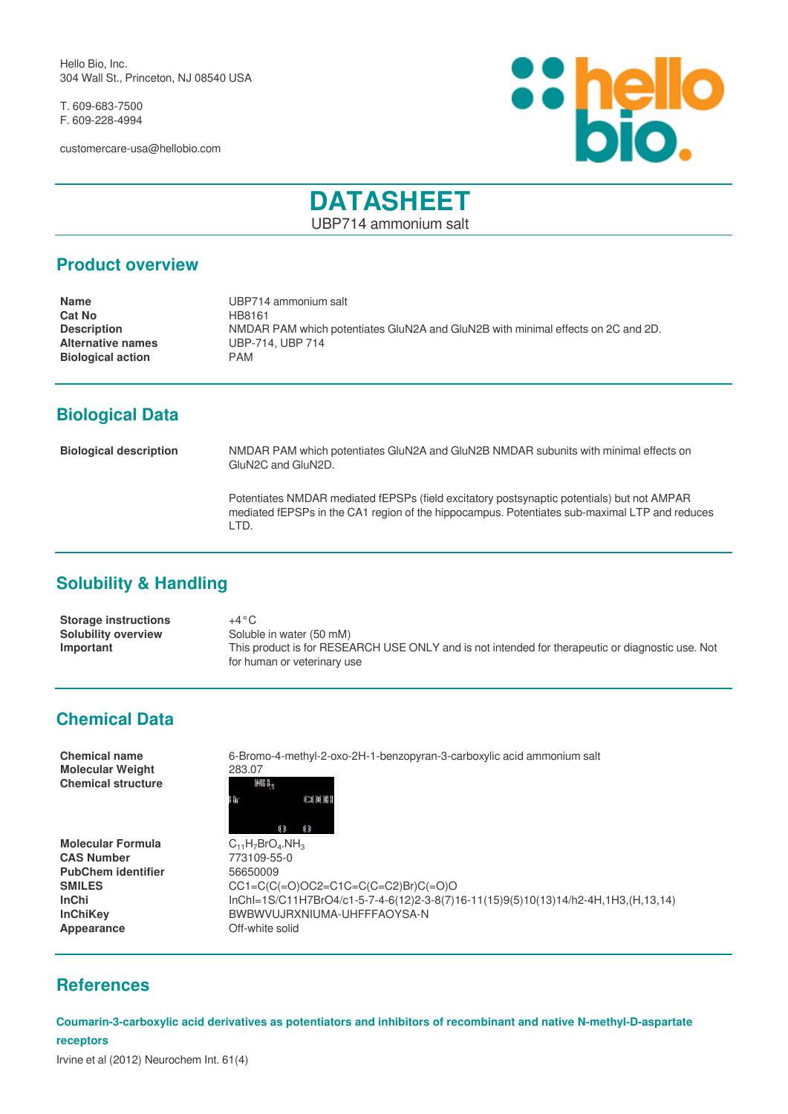Hello Bio, Inc. 304 Wall St., Princeton, NJ 08540 USA

T. 609-683-7500 F. 609-228-4994

customercare-usa@hellobio.com



# **DATASHEET**

UBP714 ammonium salt

#### **Product overview**

| <b>Name</b>              | UBP714 ammonium salt                                                             |
|--------------------------|----------------------------------------------------------------------------------|
| <b>Cat No</b>            | HB8161                                                                           |
| <b>Description</b>       | NMDAR PAM which potentiates GluN2A and GluN2B with minimal effects on 2C and 2D. |
| <b>Alternative names</b> | UBP-714, UBP 714                                                                 |
| <b>Biological action</b> | PAM.                                                                             |
|                          |                                                                                  |

## **Biological Data**

**Biological description** NMDAR PAM which potentiates GluN2A and GluN2B NMDAR subunits with minimal effects on GluN2C and GluN2D.

> Potentiates NMDAR mediated fEPSPs (field excitatory postsynaptic potentials) but not AMPAR mediated fEPSPs in the CA1 region of the hippocampus. Potentiates sub-maximal LTP and reduces LTD.

### **Solubility & Handling**

**Storage instructions** +4°C **Solubility overview** Soluble in water (50 mM)<br> **Important** This product is for RESE **Important** This product is for RESEARCH USE ONLY and is not intended for therapeutic or diagnostic use. Not for human or veterinary use

### **Chemical Data**

| <b>Chemical name</b><br><b>Molecular Weight</b> | 6-Bromo-4-methyl-2-oxo-2H-1-benzopyran-3-carboxylic acid ammonium salt<br>283.07 |
|-------------------------------------------------|----------------------------------------------------------------------------------|
| <b>Chemical structure</b>                       | NIH I <sub>s</sub><br>CXXXXII<br>Đr                                              |
|                                                 | O                                                                                |
| <b>Molecular Formula</b>                        | $C_{11}H_{7}BrO_{4}.NH_{3}$                                                      |
| <b>CAS Number</b>                               | 773109-55-0                                                                      |
| <b>PubChem identifier</b>                       | 56650009                                                                         |
| <b>SMILES</b>                                   | $CC1 = C(C (=O)OC2 = C1C = C(C = C2)Br(C (=O)O$                                  |
| InChi                                           | InChI-1S/C11H7BrO4/c1-5-7-4-6(12)2-3-8(7)16-11(15)9(5)10(13)14/h2-4F             |

**InChi** InChI=1S/C11H7BrO4/c1-5-7-4-6(12)2-3-8(7)16-11(15)9(5)10(13)14/h2-4H,1H3,(H,13,14) **InChiKey** BWBWVUJRXNIUMA-UHFFFAOYSA-N **Appearance Off-white solid** 

#### **References**

**Coumarin-3-carboxylic acid derivatives as potentiators and inhibitors of recombinant and native N-methyl-D-aspartate receptors**